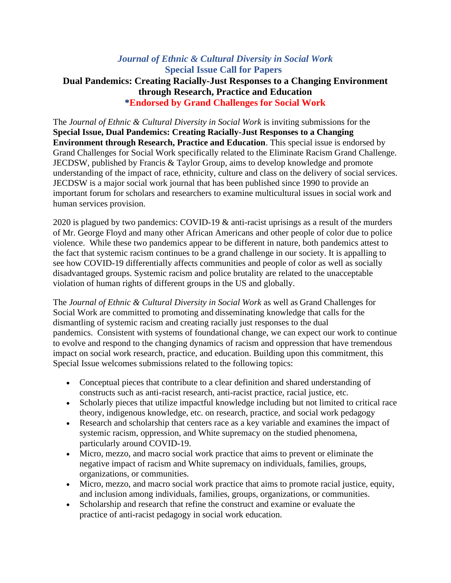## *Journal of Ethnic & Cultural Diversity in Social Work* **Special Issue Call for Papers Dual Pandemics: Creating Racially-Just Responses to a Changing Environment through Research, Practice and Education \*Endorsed by Grand Challenges for Social Work**

The *Journal of Ethnic & Cultural Diversity in Social Work* is inviting submissions for the **Special Issue, Dual Pandemics: Creating Racially-Just Responses to a Changing Environment through Research, Practice and Education**. This special issue is endorsed by Grand Challenges for Social Work specifically related to the Eliminate Racism Grand Challenge. JECDSW, published by Francis & Taylor Group, aims to develop knowledge and promote understanding of the impact of race, ethnicity, culture and class on the delivery of social services. JECDSW is a major social work journal that has been published since 1990 to provide an important forum for scholars and researchers to examine multicultural issues in social work and human services provision.

2020 is plagued by two pandemics: COVID-19 & anti-racist uprisings as a result of the murders of Mr. George Floyd and many other African Americans and other people of color due to police violence. While these two pandemics appear to be different in nature, both pandemics attest to the fact that systemic racism continues to be a grand challenge in our society. It is appalling to see how COVID-19 differentially affects communities and people of color as well as socially disadvantaged groups. Systemic racism and police brutality are related to the unacceptable violation of human rights of different groups in the US and globally.

The *Journal of Ethnic & Cultural Diversity in Social Work* as well as Grand Challenges for Social Work are committed to promoting and disseminating knowledge that calls for the dismantling of systemic racism and creating racially just responses to the dual pandemics. Consistent with systems of foundational change, we can expect our work to continue to evolve and respond to the changing dynamics of racism and oppression that have tremendous impact on social work research, practice, and education. Building upon this commitment, this Special Issue welcomes submissions related to the following topics:

- Conceptual pieces that contribute to a clear definition and shared understanding of constructs such as anti-racist research, anti-racist practice, racial justice, etc.
- Scholarly pieces that utilize impactful knowledge including but not limited to critical race theory, indigenous knowledge, etc. on research, practice, and social work pedagogy
- Research and scholarship that centers race as a key variable and examines the impact of systemic racism, oppression, and White supremacy on the studied phenomena, particularly around COVID-19.
- Micro, mezzo, and macro social work practice that aims to prevent or eliminate the negative impact of racism and White supremacy on individuals, families, groups, organizations, or communities.
- Micro, mezzo, and macro social work practice that aims to promote racial justice, equity, and inclusion among individuals, families, groups, organizations, or communities.
- Scholarship and research that refine the construct and examine or evaluate the practice of anti-racist pedagogy in social work education.